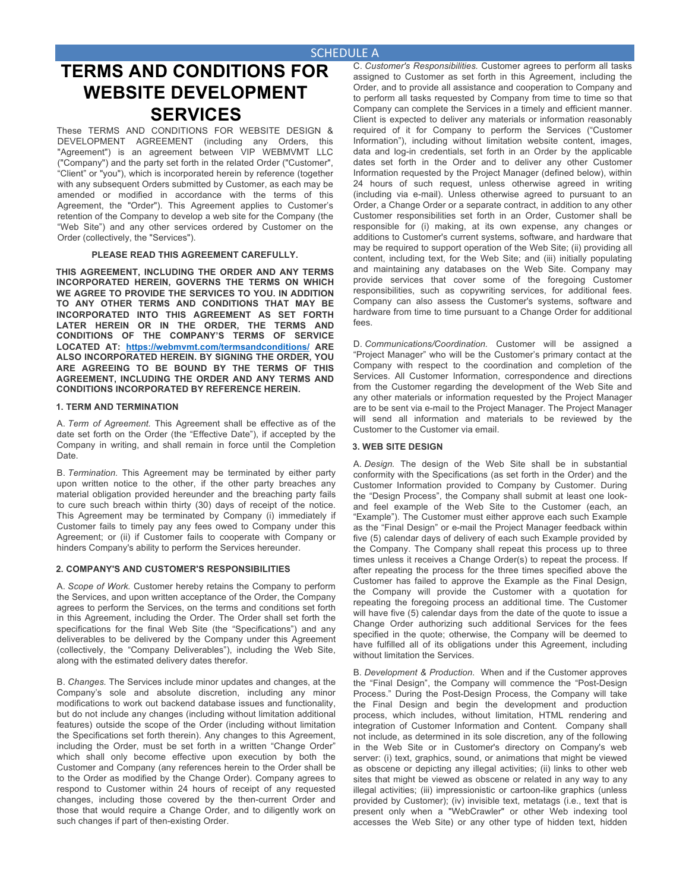## **SCHEDULE A**

# **TERMS AND CONDITIONS FOR WEBSITE DEVELOPMENT SERVICES**

These TERMS AND CONDITIONS FOR WEBSITE DESIGN & DEVELOPMENT AGREEMENT (including any Orders, this "Agreement") is an agreement between VIP WEBMVMT LLC ("Company") and the party set forth in the related Order ("Customer", "Client" or "you"), which is incorporated herein by reference (together with any subsequent Orders submitted by Customer, as each may be amended or modified in accordance with the terms of this Agreement, the "Order"). This Agreement applies to Customer's retention of the Company to develop a web site for the Company (the "Web Site") and any other services ordered by Customer on the Order (collectively, the "Services").

#### **PLEASE READ THIS AGREEMENT CAREFULLY.**

**THIS AGREEMENT, INCLUDING THE ORDER AND ANY TERMS INCORPORATED HEREIN, GOVERNS THE TERMS ON WHICH WE AGREE TO PROVIDE THE SERVICES TO YOU. IN ADDITION TO ANY OTHER TERMS AND CONDITIONS THAT MAY BE INCORPORATED INTO THIS AGREEMENT AS SET FORTH LATER HEREIN OR IN THE ORDER, THE TERMS AND CONDITIONS OF THE COMPANY'S TERMS OF SERVICE LOCATED AT: https://webmvmt.com/termsandconditions/ ARE ALSO INCORPORATED HEREIN. BY SIGNING THE ORDER, YOU ARE AGREEING TO BE BOUND BY THE TERMS OF THIS AGREEMENT, INCLUDING THE ORDER AND ANY TERMS AND CONDITIONS INCORPORATED BY REFERENCE HEREIN.** 

#### **1. TERM AND TERMINATION**

A. *Term of Agreement.* This Agreement shall be effective as of the date set forth on the Order (the "Effective Date"), if accepted by the Company in writing, and shall remain in force until the Completion Date.

B. *Termination.* This Agreement may be terminated by either party upon written notice to the other, if the other party breaches any material obligation provided hereunder and the breaching party fails to cure such breach within thirty (30) days of receipt of the notice. This Agreement may be terminated by Company (i) immediately if Customer fails to timely pay any fees owed to Company under this Agreement; or (ii) if Customer fails to cooperate with Company or hinders Company's ability to perform the Services hereunder.

#### **2. COMPANY'S AND CUSTOMER'S RESPONSIBILITIES**

A. *Scope of Work.* Customer hereby retains the Company to perform the Services, and upon written acceptance of the Order, the Company agrees to perform the Services, on the terms and conditions set forth in this Agreement, including the Order. The Order shall set forth the specifications for the final Web Site (the "Specifications") and any deliverables to be delivered by the Company under this Agreement (collectively, the "Company Deliverables"), including the Web Site, along with the estimated delivery dates therefor.

B. *Changes.* The Services include minor updates and changes, at the Company's sole and absolute discretion, including any minor modifications to work out backend database issues and functionality, but do not include any changes (including without limitation additional features) outside the scope of the Order (including without limitation the Specifications set forth therein). Any changes to this Agreement, including the Order, must be set forth in a written "Change Order" which shall only become effective upon execution by both the Customer and Company (any references herein to the Order shall be to the Order as modified by the Change Order). Company agrees to respond to Customer within 24 hours of receipt of any requested changes, including those covered by the then-current Order and those that would require a Change Order, and to diligently work on such changes if part of then-existing Order.

C. *Customer's Responsibilities.* Customer agrees to perform all tasks assigned to Customer as set forth in this Agreement, including the Order, and to provide all assistance and cooperation to Company and to perform all tasks requested by Company from time to time so that Company can complete the Services in a timely and efficient manner. Client is expected to deliver any materials or information reasonably required of it for Company to perform the Services ("Customer Information"), including without limitation website content, images, data and log-in credentials, set forth in an Order by the applicable dates set forth in the Order and to deliver any other Customer Information requested by the Project Manager (defined below), within 24 hours of such request, unless otherwise agreed in writing (including via e-mail). Unless otherwise agreed to pursuant to an Order, a Change Order or a separate contract, in addition to any other Customer responsibilities set forth in an Order, Customer shall be responsible for (i) making, at its own expense, any changes or additions to Customer's current systems, software, and hardware that may be required to support operation of the Web Site; (ii) providing all content, including text, for the Web Site; and (iii) initially populating and maintaining any databases on the Web Site. Company may provide services that cover some of the foregoing Customer responsibilities, such as copywriting services, for additional fees. Company can also assess the Customer's systems, software and hardware from time to time pursuant to a Change Order for additional fees.

D. *Communications/Coordination.* Customer will be assigned a "Project Manager" who will be the Customer's primary contact at the Company with respect to the coordination and completion of the Services. All Customer Information, correspondence and directions from the Customer regarding the development of the Web Site and any other materials or information requested by the Project Manager are to be sent via e-mail to the Project Manager. The Project Manager will send all information and materials to be reviewed by the Customer to the Customer via email.

#### **3. WEB SITE DESIGN**

A. *Design.* The design of the Web Site shall be in substantial conformity with the Specifications (as set forth in the Order) and the Customer Information provided to Company by Customer. During the "Design Process", the Company shall submit at least one lookand feel example of the Web Site to the Customer (each, an "Example"). The Customer must either approve each such Example as the "Final Design" or e-mail the Project Manager feedback within five (5) calendar days of delivery of each such Example provided by the Company. The Company shall repeat this process up to three times unless it receives a Change Order(s) to repeat the process. If after repeating the process for the three times specified above the Customer has failed to approve the Example as the Final Design, the Company will provide the Customer with a quotation for repeating the foregoing process an additional time. The Customer will have five (5) calendar days from the date of the quote to issue a Change Order authorizing such additional Services for the fees specified in the quote; otherwise, the Company will be deemed to have fulfilled all of its obligations under this Agreement, including without limitation the Services.

B. *Development & Production*. When and if the Customer approves the "Final Design", the Company will commence the "Post-Design Process." During the Post-Design Process, the Company will take the Final Design and begin the development and production process, which includes, without limitation, HTML rendering and integration of Customer Information and Content. Company shall not include, as determined in its sole discretion, any of the following in the Web Site or in Customer's directory on Company's web server: (i) text, graphics, sound, or animations that might be viewed as obscene or depicting any illegal activities; (ii) links to other web sites that might be viewed as obscene or related in any way to any illegal activities; (iii) impressionistic or cartoon-like graphics (unless provided by Customer); (iv) invisible text, metatags (i.e., text that is present only when a "WebCrawler" or other Web indexing tool accesses the Web Site) or any other type of hidden text, hidden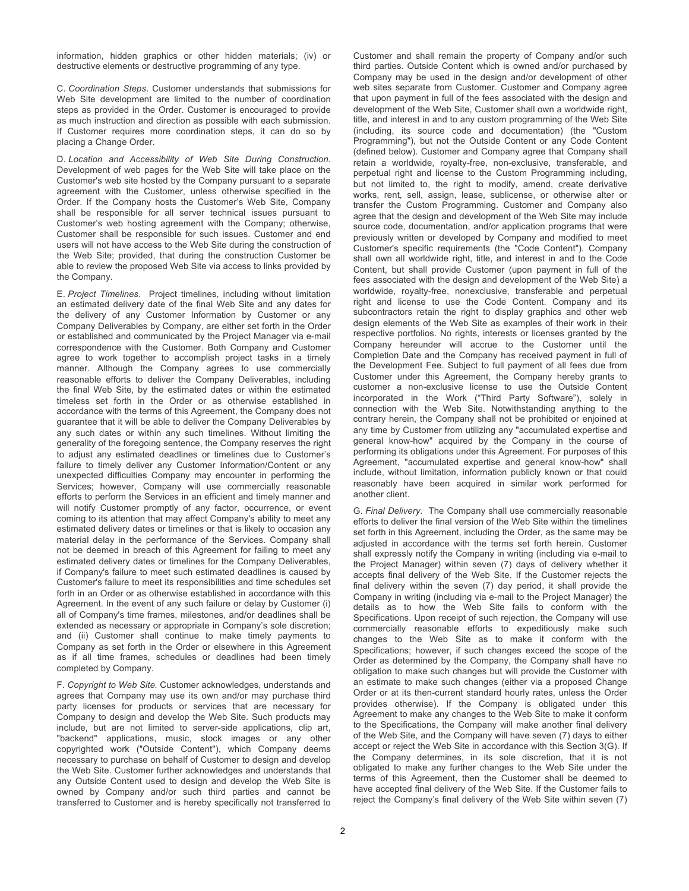information, hidden graphics or other hidden materials; (iv) or destructive elements or destructive programming of any type.

C. *Coordination Steps*. Customer understands that submissions for Web Site development are limited to the number of coordination steps as provided in the Order. Customer is encouraged to provide as much instruction and direction as possible with each submission. If Customer requires more coordination steps, it can do so by placing a Change Order.

D. *Location and Accessibility of Web Site During Construction.*  Development of web pages for the Web Site will take place on the Customer's web site hosted by the Company pursuant to a separate agreement with the Customer, unless otherwise specified in the Order. If the Company hosts the Customer's Web Site, Company shall be responsible for all server technical issues pursuant to Customer's web hosting agreement with the Company; otherwise, Customer shall be responsible for such issues. Customer and end users will not have access to the Web Site during the construction of the Web Site; provided, that during the construction Customer be able to review the proposed Web Site via access to links provided by the Company.

E. *Project Timelines*. Project timelines, including without limitation an estimated delivery date of the final Web Site and any dates for the delivery of any Customer Information by Customer or any Company Deliverables by Company, are either set forth in the Order or established and communicated by the Project Manager via e-mail correspondence with the Customer. Both Company and Customer agree to work together to accomplish project tasks in a timely manner. Although the Company agrees to use commercially reasonable efforts to deliver the Company Deliverables, including the final Web Site, by the estimated dates or within the estimated timeless set forth in the Order or as otherwise established in accordance with the terms of this Agreement, the Company does not guarantee that it will be able to deliver the Company Deliverables by any such dates or within any such timelines. Without limiting the generality of the foregoing sentence, the Company reserves the right to adjust any estimated deadlines or timelines due to Customer's failure to timely deliver any Customer Information/Content or any unexpected difficulties Company may encounter in performing the Services; however, Company will use commercially reasonable efforts to perform the Services in an efficient and timely manner and will notify Customer promptly of any factor, occurrence, or event coming to its attention that may affect Company's ability to meet any estimated delivery dates or timelines or that is likely to occasion any material delay in the performance of the Services. Company shall not be deemed in breach of this Agreement for failing to meet any estimated delivery dates or timelines for the Company Deliverables, if Company's failure to meet such estimated deadlines is caused by Customer's failure to meet its responsibilities and time schedules set forth in an Order or as otherwise established in accordance with this Agreement. In the event of any such failure or delay by Customer (i) all of Company's time frames, milestones, and/or deadlines shall be extended as necessary or appropriate in Company's sole discretion; and (ii) Customer shall continue to make timely payments to Company as set forth in the Order or elsewhere in this Agreement as if all time frames, schedules or deadlines had been timely completed by Company.

F. *Copyright to Web Site.* Customer acknowledges, understands and agrees that Company may use its own and/or may purchase third party licenses for products or services that are necessary for Company to design and develop the Web Site. Such products may include, but are not limited to server-side applications, clip art, "backend" applications, music, stock images or any other copyrighted work ("Outside Content"), which Company deems necessary to purchase on behalf of Customer to design and develop the Web Site. Customer further acknowledges and understands that any Outside Content used to design and develop the Web Site is owned by Company and/or such third parties and cannot be transferred to Customer and is hereby specifically not transferred to

web sites separate from Customer. Customer and Company agree that upon payment in full of the fees associated with the design and development of the Web Site, Customer shall own a worldwide right, title, and interest in and to any custom programming of the Web Site (including, its source code and documentation) (the "Custom Programming"), but not the Outside Content or any Code Content (defined below). Customer and Company agree that Company shall retain a worldwide, royalty-free, non-exclusive, transferable, and perpetual right and license to the Custom Programming including, but not limited to, the right to modify, amend, create derivative works, rent, sell, assign, lease, sublicense, or otherwise alter or transfer the Custom Programming. Customer and Company also agree that the design and development of the Web Site may include source code, documentation, and/or application programs that were previously written or developed by Company and modified to meet Customer's specific requirements (the "Code Content"). Company shall own all worldwide right, title, and interest in and to the Code Content, but shall provide Customer (upon payment in full of the fees associated with the design and development of the Web Site) a worldwide, royalty-free, nonexclusive, transferable and perpetual right and license to use the Code Content. Company and its subcontractors retain the right to display graphics and other web design elements of the Web Site as examples of their work in their respective portfolios. No rights, interests or licenses granted by the Company hereunder will accrue to the Customer until the Completion Date and the Company has received payment in full of the Development Fee. Subject to full payment of all fees due from Customer under this Agreement, the Company hereby grants to customer a non-exclusive license to use the Outside Content incorporated in the Work ("Third Party Software"), solely in connection with the Web Site. Notwithstanding anything to the contrary herein, the Company shall not be prohibited or enjoined at any time by Customer from utilizing any "accumulated expertise and general know-how" acquired by the Company in the course of performing its obligations under this Agreement. For purposes of this Agreement, "accumulated expertise and general know-how" shall include, without limitation, information publicly known or that could reasonably have been acquired in similar work performed for another client.

Customer and shall remain the property of Company and/or such third parties. Outside Content which is owned and/or purchased by Company may be used in the design and/or development of other

G. *Final Delivery*. The Company shall use commercially reasonable efforts to deliver the final version of the Web Site within the timelines set forth in this Agreement, including the Order, as the same may be adjusted in accordance with the terms set forth herein. Customer shall expressly notify the Company in writing (including via e-mail to the Project Manager) within seven (7) days of delivery whether it accepts final delivery of the Web Site. If the Customer rejects the final delivery within the seven (7) day period, it shall provide the Company in writing (including via e-mail to the Project Manager) the details as to how the Web Site fails to conform with the Specifications. Upon receipt of such rejection, the Company will use commercially reasonable efforts to expeditiously make such changes to the Web Site as to make it conform with the Specifications; however, if such changes exceed the scope of the Order as determined by the Company, the Company shall have no obligation to make such changes but will provide the Customer with an estimate to make such changes (either via a proposed Change Order or at its then-current standard hourly rates, unless the Order provides otherwise). If the Company is obligated under this Agreement to make any changes to the Web Site to make it conform to the Specifications, the Company will make another final delivery of the Web Site, and the Company will have seven (7) days to either accept or reject the Web Site in accordance with this Section 3(G). If the Company determines, in its sole discretion, that it is not obligated to make any further changes to the Web Site under the terms of this Agreement, then the Customer shall be deemed to have accepted final delivery of the Web Site. If the Customer fails to reject the Company's final delivery of the Web Site within seven (7)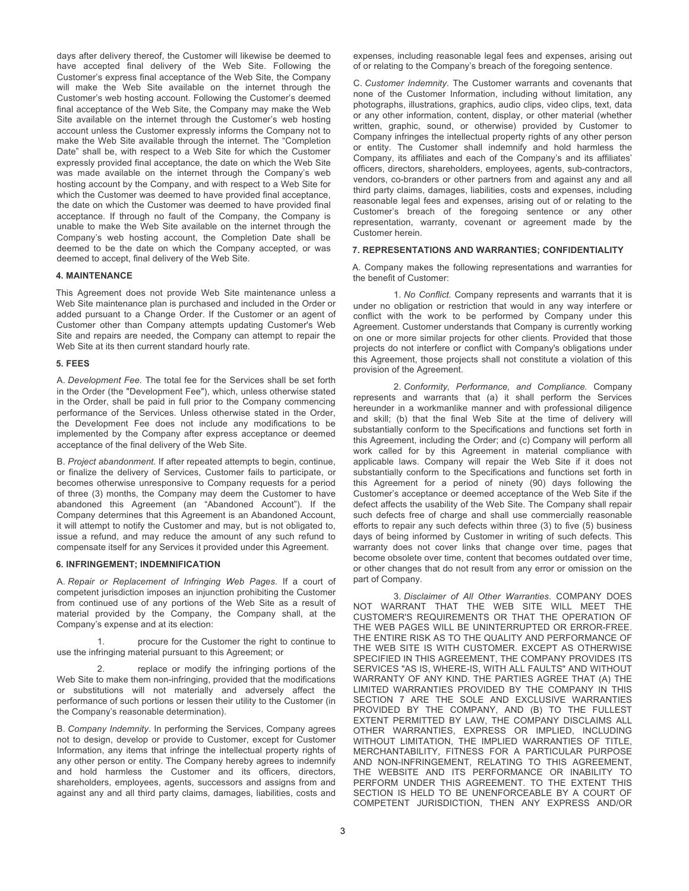days after delivery thereof, the Customer will likewise be deemed to have accepted final delivery of the Web Site. Following the Customer's express final acceptance of the Web Site, the Company will make the Web Site available on the internet through the Customer's web hosting account. Following the Customer's deemed final acceptance of the Web Site, the Company may make the Web Site available on the internet through the Customer's web hosting account unless the Customer expressly informs the Company not to make the Web Site available through the internet. The "Completion Date" shall be, with respect to a Web Site for which the Customer expressly provided final acceptance, the date on which the Web Site was made available on the internet through the Company's web hosting account by the Company, and with respect to a Web Site for which the Customer was deemed to have provided final acceptance, the date on which the Customer was deemed to have provided final acceptance. If through no fault of the Company, the Company is unable to make the Web Site available on the internet through the Company's web hosting account, the Completion Date shall be deemed to be the date on which the Company accepted, or was deemed to accept, final delivery of the Web Site.

#### **4. MAINTENANCE**

This Agreement does not provide Web Site maintenance unless a Web Site maintenance plan is purchased and included in the Order or added pursuant to a Change Order. If the Customer or an agent of Customer other than Company attempts updating Customer's Web Site and repairs are needed, the Company can attempt to repair the Web Site at its then current standard hourly rate.

#### **5. FEES**

A. *Development Fee.* The total fee for the Services shall be set forth in the Order (the "Development Fee"), which, unless otherwise stated in the Order, shall be paid in full prior to the Company commencing performance of the Services. Unless otherwise stated in the Order, the Development Fee does not include any modifications to be implemented by the Company after express acceptance or deemed acceptance of the final delivery of the Web Site.

B. *Project abandonment.* If after repeated attempts to begin, continue, or finalize the delivery of Services, Customer fails to participate, or becomes otherwise unresponsive to Company requests for a period of three (3) months, the Company may deem the Customer to have abandoned this Agreement (an "Abandoned Account"). If the Company determines that this Agreement is an Abandoned Account, it will attempt to notify the Customer and may, but is not obligated to, issue a refund, and may reduce the amount of any such refund to compensate itself for any Services it provided under this Agreement.

#### **6. INFRINGEMENT; INDEMNIFICATION**

A. *Repair or Replacement of Infringing Web Pages*. If a court of competent jurisdiction imposes an injunction prohibiting the Customer from continued use of any portions of the Web Site as a result of material provided by the Company, the Company shall, at the Company's expense and at its election:

1. procure for the Customer the right to continue to use the infringing material pursuant to this Agreement; or

2. replace or modify the infringing portions of the Web Site to make them non-infringing, provided that the modifications or substitutions will not materially and adversely affect the performance of such portions or lessen their utility to the Customer (in the Company's reasonable determination).

B. *Company Indemnity*. In performing the Services, Company agrees not to design, develop or provide to Customer, except for Customer Information, any items that infringe the intellectual property rights of any other person or entity. The Company hereby agrees to indemnify and hold harmless the Customer and its officers, directors, shareholders, employees, agents, successors and assigns from and against any and all third party claims, damages, liabilities, costs and

expenses, including reasonable legal fees and expenses, arising out of or relating to the Company's breach of the foregoing sentence.

C. *Customer Indemnity*. The Customer warrants and covenants that none of the Customer Information, including without limitation, any photographs, illustrations, graphics, audio clips, video clips, text, data or any other information, content, display, or other material (whether written, graphic, sound, or otherwise) provided by Customer to Company infringes the intellectual property rights of any other person or entity. The Customer shall indemnify and hold harmless the Company, its affiliates and each of the Company's and its affiliates' officers, directors, shareholders, employees, agents, sub-contractors, vendors, co-branders or other partners from and against any and all third party claims, damages, liabilities, costs and expenses, including reasonable legal fees and expenses, arising out of or relating to the Customer's breach of the foregoing sentence or any other representation, warranty, covenant or agreement made by the Customer herein.

#### **7. REPRESENTATIONS AND WARRANTIES; CONFIDENTIALITY**

A. Company makes the following representations and warranties for the benefit of Customer:

1. *No Conflict.* Company represents and warrants that it is under no obligation or restriction that would in any way interfere or conflict with the work to be performed by Company under this Agreement. Customer understands that Company is currently working on one or more similar projects for other clients. Provided that those projects do not interfere or conflict with Company's obligations under this Agreement, those projects shall not constitute a violation of this provision of the Agreement.

2. *Conformity, Performance, and Compliance.* Company represents and warrants that (a) it shall perform the Services hereunder in a workmanlike manner and with professional diligence and skill; (b) that the final Web Site at the time of delivery will substantially conform to the Specifications and functions set forth in this Agreement, including the Order; and (c) Company will perform all work called for by this Agreement in material compliance with applicable laws. Company will repair the Web Site if it does not substantially conform to the Specifications and functions set forth in this Agreement for a period of ninety (90) days following the Customer's acceptance or deemed acceptance of the Web Site if the defect affects the usability of the Web Site. The Company shall repair such defects free of charge and shall use commercially reasonable efforts to repair any such defects within three (3) to five (5) business days of being informed by Customer in writing of such defects. This warranty does not cover links that change over time, pages that become obsolete over time, content that becomes outdated over time, or other changes that do not result from any error or omission on the part of Company.

3. *Disclaimer of All Other Warranties*. COMPANY DOES NOT WARRANT THAT THE WEB SITE WILL MEET THE CUSTOMER'S REQUIREMENTS OR THAT THE OPERATION OF THE WEB PAGES WILL BE UNINTERRUPTED OR ERROR-FREE. THE ENTIRE RISK AS TO THE QUALITY AND PERFORMANCE OF THE WEB SITE IS WITH CUSTOMER. EXCEPT AS OTHERWISE SPECIFIED IN THIS AGREEMENT, THE COMPANY PROVIDES ITS SERVICES "AS IS, WHERE-IS, WITH ALL FAULTS" AND WITHOUT WARRANTY OF ANY KIND. THE PARTIES AGREE THAT (A) THE LIMITED WARRANTIES PROVIDED BY THE COMPANY IN THIS SECTION 7 ARE THE SOLE AND EXCLUSIVE WARRANTIES PROVIDED BY THE COMPANY, AND (B) TO THE FULLEST EXTENT PERMITTED BY LAW, THE COMPANY DISCLAIMS ALL OTHER WARRANTIES, EXPRESS OR IMPLIED, INCLUDING WITHOUT LIMITATION, THE IMPLIED WARRANTIES OF TITLE, MERCHANTABILITY, FITNESS FOR A PARTICULAR PURPOSE AND NON-INFRINGEMENT, RELATING TO THIS AGREEMENT, THE WEBSITE AND ITS PERFORMANCE OR INABILITY TO PERFORM UNDER THIS AGREEMENT. TO THE EXTENT THIS SECTION IS HELD TO BE UNENFORCEABLE BY A COURT OF COMPETENT JURISDICTION, THEN ANY EXPRESS AND/OR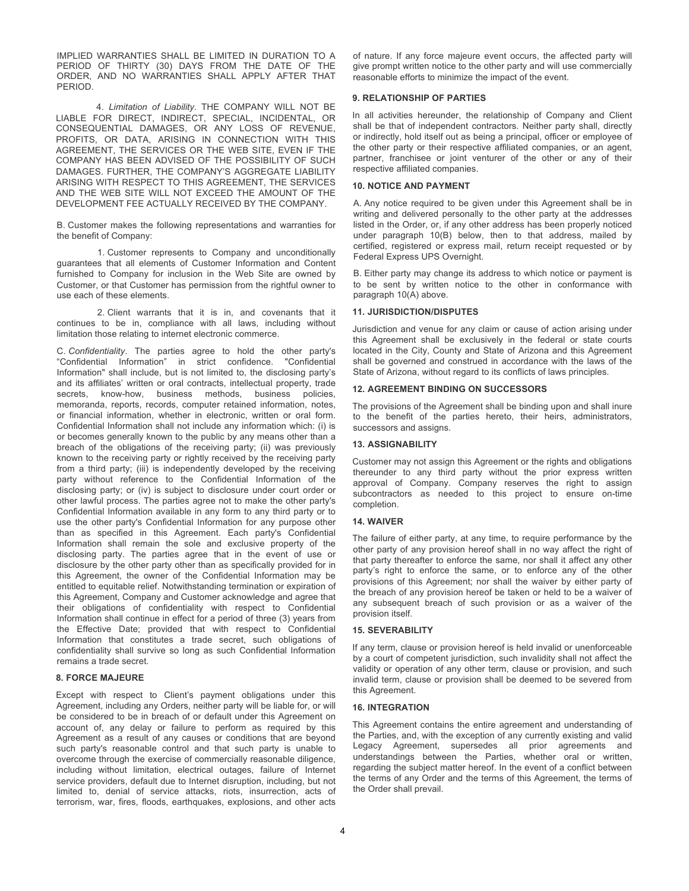IMPLIED WARRANTIES SHALL BE LIMITED IN DURATION TO A PERIOD OF THIRTY (30) DAYS FROM THE DATE OF THE ORDER, AND NO WARRANTIES SHALL APPLY AFTER THAT PERIOD.

4. *Limitation of Liability*. THE COMPANY WILL NOT BE LIABLE FOR DIRECT, INDIRECT, SPECIAL, INCIDENTAL, OR CONSEQUENTIAL DAMAGES, OR ANY LOSS OF REVENUE, PROFITS, OR DATA, ARISING IN CONNECTION WITH THIS AGREEMENT, THE SERVICES OR THE WEB SITE, EVEN IF THE COMPANY HAS BEEN ADVISED OF THE POSSIBILITY OF SUCH DAMAGES. FURTHER, THE COMPANY'S AGGREGATE LIABILITY ARISING WITH RESPECT TO THIS AGREEMENT, THE SERVICES AND THE WEB SITE WILL NOT EXCEED THE AMOUNT OF THE DEVELOPMENT FEE ACTUALLY RECEIVED BY THE COMPANY.

B. Customer makes the following representations and warranties for the benefit of Company:

1. Customer represents to Company and unconditionally guarantees that all elements of Customer Information and Content furnished to Company for inclusion in the Web Site are owned by Customer, or that Customer has permission from the rightful owner to use each of these elements.

2. Client warrants that it is in, and covenants that it continues to be in, compliance with all laws, including without limitation those relating to internet electronic commerce.

C. *Confidentiality*. The parties agree to hold the other party's "Confidential Information" in strict confidence. "Confidential Information" shall include, but is not limited to, the disclosing party's and its affiliates' written or oral contracts, intellectual property, trade secrets, know-how, business methods, business policies, memoranda, reports, records, computer retained information, notes, or financial information, whether in electronic, written or oral form. Confidential Information shall not include any information which: (i) is or becomes generally known to the public by any means other than a breach of the obligations of the receiving party; (ii) was previously known to the receiving party or rightly received by the receiving party from a third party; (iii) is independently developed by the receiving party without reference to the Confidential Information of the disclosing party; or (iv) is subject to disclosure under court order or other lawful process. The parties agree not to make the other party's Confidential Information available in any form to any third party or to use the other party's Confidential Information for any purpose other than as specified in this Agreement. Each party's Confidential Information shall remain the sole and exclusive property of the disclosing party. The parties agree that in the event of use or disclosure by the other party other than as specifically provided for in this Agreement, the owner of the Confidential Information may be entitled to equitable relief. Notwithstanding termination or expiration of this Agreement, Company and Customer acknowledge and agree that their obligations of confidentiality with respect to Confidential Information shall continue in effect for a period of three (3) years from the Effective Date; provided that with respect to Confidential Information that constitutes a trade secret, such obligations of confidentiality shall survive so long as such Confidential Information remains a trade secret.

#### **8. FORCE MAJEURE**

Except with respect to Client's payment obligations under this Agreement, including any Orders, neither party will be liable for, or will be considered to be in breach of or default under this Agreement on account of, any delay or failure to perform as required by this Agreement as a result of any causes or conditions that are beyond such party's reasonable control and that such party is unable to overcome through the exercise of commercially reasonable diligence, including without limitation, electrical outages, failure of Internet service providers, default due to Internet disruption, including, but not limited to, denial of service attacks, riots, insurrection, acts of terrorism, war, fires, floods, earthquakes, explosions, and other acts

of nature. If any force majeure event occurs, the affected party will give prompt written notice to the other party and will use commercially reasonable efforts to minimize the impact of the event.

#### **9. RELATIONSHIP OF PARTIES**

In all activities hereunder, the relationship of Company and Client shall be that of independent contractors. Neither party shall, directly or indirectly, hold itself out as being a principal, officer or employee of the other party or their respective affiliated companies, or an agent, partner, franchisee or joint venturer of the other or any of their respective affiliated companies.

#### **10. NOTICE AND PAYMENT**

A. Any notice required to be given under this Agreement shall be in writing and delivered personally to the other party at the addresses listed in the Order, or, if any other address has been properly noticed under paragraph 10(B) below, then to that address, mailed by certified, registered or express mail, return receipt requested or by Federal Express UPS Overnight.

B. Either party may change its address to which notice or payment is to be sent by written notice to the other in conformance with paragraph 10(A) above.

#### **11. JURISDICTION/DISPUTES**

Jurisdiction and venue for any claim or cause of action arising under this Agreement shall be exclusively in the federal or state courts located in the City, County and State of Arizona and this Agreement shall be governed and construed in accordance with the laws of the State of Arizona, without regard to its conflicts of laws principles.

#### **12. AGREEMENT BINDING ON SUCCESSORS**

The provisions of the Agreement shall be binding upon and shall inure to the benefit of the parties hereto, their heirs, administrators, successors and assigns.

#### **13. ASSIGNABILITY**

Customer may not assign this Agreement or the rights and obligations thereunder to any third party without the prior express written approval of Company. Company reserves the right to assign subcontractors as needed to this project to ensure on-time completion.

#### **14. WAIVER**

The failure of either party, at any time, to require performance by the other party of any provision hereof shall in no way affect the right of that party thereafter to enforce the same, nor shall it affect any other party's right to enforce the same, or to enforce any of the other provisions of this Agreement; nor shall the waiver by either party of the breach of any provision hereof be taken or held to be a waiver of any subsequent breach of such provision or as a waiver of the provision itself.

#### **15. SEVERABILITY**

If any term, clause or provision hereof is held invalid or unenforceable by a court of competent jurisdiction, such invalidity shall not affect the validity or operation of any other term, clause or provision, and such invalid term, clause or provision shall be deemed to be severed from this Agreement.

#### **16. INTEGRATION**

This Agreement contains the entire agreement and understanding of the Parties, and, with the exception of any currently existing and valid Legacy Agreement, supersedes all prior agreements and understandings between the Parties, whether oral or written, regarding the subject matter hereof. In the event of a conflict between the terms of any Order and the terms of this Agreement, the terms of the Order shall prevail.